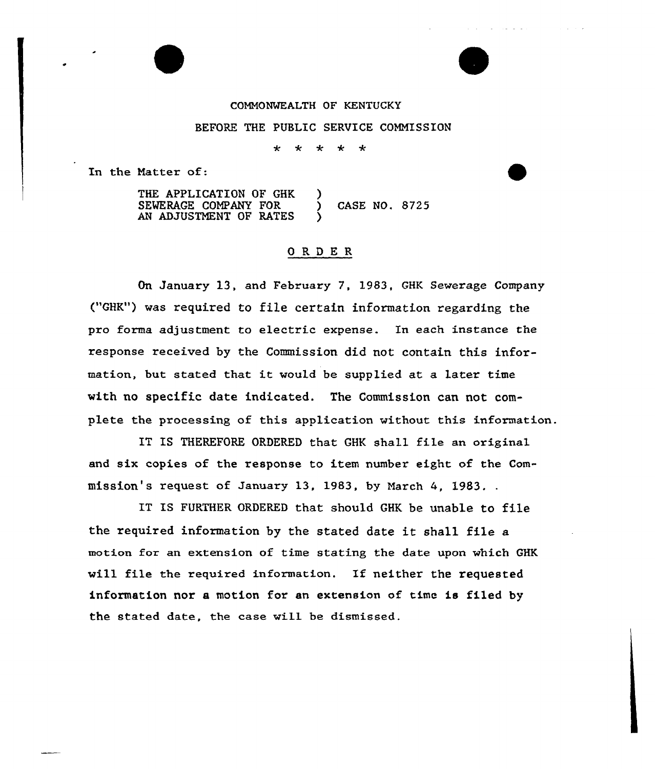## CONNONMEALTH OF KENTUCKY BEFORE THE PUBLIC SERVICE COMMISSION

 $\star$  $\star$  $\star$  $\star$  $\star$ 

In the Natter of:

THE APPLICATION OF GHK SEWERAGE COMPANY FOR AN ADJUSTMENT OF RATES ) ) CASE NO. 8725 )

## ORDER

On January 13, and February 7, 1983, GHK Sewerage Company ("GHK") was required to file certain information regarding the pro forma adjustment to electric expense. In each instance the response received by the Commission did not contain this information, but stated that it would be supplied at <sup>a</sup> later time with no specific date indicated. The Commission can not complete the processing of this application without this information.

IT IS THEREFORE ORDERED that GHK shall file an original and six copies of the response to item number eight of the Commission's request of January 13, 1983, by March 4, 1983.

IT IS FURTHER ORDERED that should GHK be unable to file the required information by the stated date it shall file <sup>a</sup> motion for an extension of time stating the date upon which GHK vill file the required information. If neither the requested information nor a motion for an extension of time is filed by the stated date, the case will be dismissed.